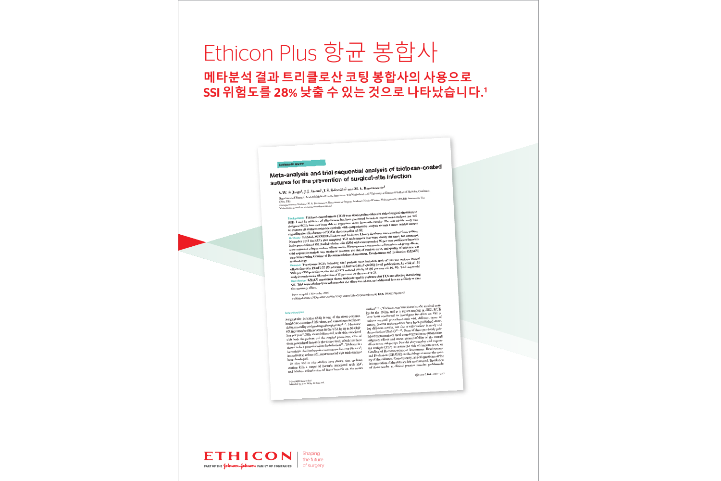# Ethicon Plus 항균 봉합사 메타분석 결과 트리클로산 코팅 봉합사의 사용으로 SSI 위험도를 28% 낮출 수 있는 것으로 나타났습니다.1

Meta-analysis and trial sequential analysis of triclosan-coated sutures for the prevention of surgical-site infection

S. W. de Jonge<sup>1</sup>, J. J. Atema<sup>1</sup>, J. S. Solomkin<sup>2</sup> and M. A. Boermeester<sup>1</sup> ents of Surgery,<sup>3</sup> Academic Medical Centre, Amsterdam, The Netherlands and <sup>2</sup> University of Gneinnati Gellege of Medicine, Cincinnati,

Ohio, USA<br>Germanicus re: Peufessor M. A. Boermeester, Department of Surgery, Academic Medical Centre, Meibergsbeef 9, 1100 DD Austerdam, The Notherlands (e-mail: m.

ekground: Triclosan-coated sutures (TCS) were developed to reduce the risk of surgical-site infectio

Background: Triclosan-coated sutures ( $\Gamma$ CS) were developed to reduce the risk of surgical-site infection (SSI). Level IA evidence of effectiveness has been presented in various recent meta-analyses, yet well designed RC

methodology.<br> **Example 1980**<br> **Example 1980**<br> **Example 1980**<br> **Example 1980**<br> **Example 1980**<br> **Example 1980**<br> **Example 1980**<br> **Example 1980**<br> **Example 1980**<br> **Example 1980**<br> **Example 1980**<br> **Example 1980**<br> **Example 1980**<br>

Paper acceptes 3 November 2016<br>Published online 23 December 2016 in Wiley Online Library (www.bjs.co.uk), DOI: 10.1002Ajs.10445 Paper accepted 3 November 2016

© 2017 BJS Society Ltd<br>Published by John Wiley & Sons Ltd

surface<sup>8-11</sup>. Triclosan was introduced to the medical marsurface the interest with the 1970s, and as a surface to the members material state infection (SSI) is one of the most common<br>Surgical-site infection (SSI) is one of the most common<br>healthcare-associated infections, and ca Surgical-site infection (SSI) is one of the most common<br>healthcare-associated infections, and causes increased more boron conducted to investigate its effect on SSI in<br>helibeare-associated infections, and causes increased  $and \text{ Evaluation (GRADE)} methods you assess the qual-  
ber and *in* view and *in* rules studies have shown that tridosan-  
ity of the evidence. Consequently, critical questions on the  
coating kills a range of bacterial associated with SSL<sup>7</sup>, interpretation of the data are left unanswered. Translation  
and inhibits colonization of those bacteria on the source-  
and inhibits colonization of those bacteria on the source-  
of these results to clinical practice remains problematic-$ 

BJS 2017; 104: e118-e133



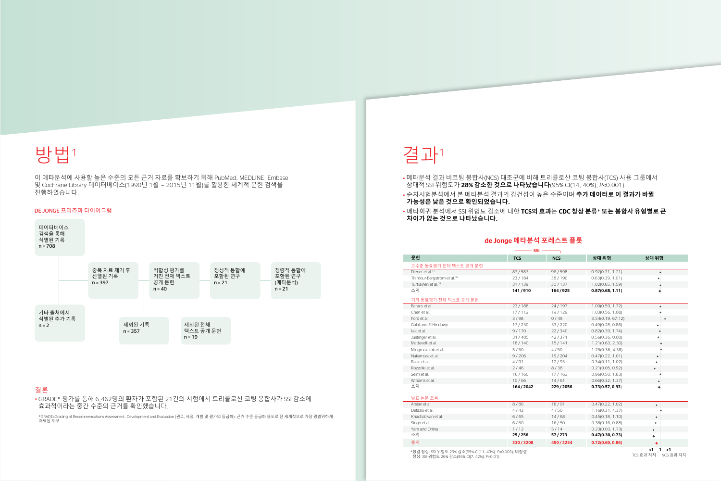

이 메타분석에 사용할 높은 수준의 모든 근거 자료를 확보하기 위해 PubMed, MEDLINE, Embase 및 Cochrane Library 데이터베이스(1990년 1월 ~ 2015년 11월)를 활용한 체계적 문헌 검색을 진행하였습니다.

### DE JONGE 프리즈마 다이어그램



# 결론

• GRADE\* 평가를 통해 6,462명의 환자가 포함된 21건의 시험에서 트리클로산 코팅 봉합사가 SSI 감소에 효과적이라는 중간 수준의 근거를 확인했습니다.

\*GRADE=Grading of Recommendations Assessment, Development and Evaluation (권고, 사정, 개발 및 평가의 등급화), 근거 수준 등급화 용도로 전 세계적으로 가장 광범위하게 채택된 도구

# de Jonge **메타분석 포레스트 플롯**

\*청결 창상: SSI 위험도 29% 감소(95% CI(11, 43%), *P*=0.003), 비청결 창상: SSI 위험도 26% 감소(95% CI(7, 42%), *P*=0.01)

TCS 효과 지지 NCS 효과 지지

# 결과<sup>1</sup>

# • 메타분석 결과 비코팅 봉합사(NCS) 대조군에 비해 트리클로산 코팅 봉합사(TCS) 사용 그룹에서 상대적 SSI 위험도가 28**% 감소한 것으로 나타났습니다**(95% CI(14, 40%), *P<*0.001).

- 
- 순차시험분석에서 본 메타분석 결과의 강건성이 높은 수준이며 **추가 데이터로 이 결과가 바뀔 가능성은 낮은 것으로 확인되었습니다**. • 메타회귀 분석에서 SSI 위험도 감소에 대한 TCS**의 효과**는 CDC **창상 분류**\* **또는 봉합사 유형별로 큰 차이가 없는 것으로 나타났습니다**.

# <mark>고수준 동료평가 전체 텍스트 공개 문헌</mark><br>Diener et al.<sup>17</sup> Thimour-Bergström et al.<sup>39</sup> Turtiainen et al.<sup>34</sup> 기타 동료평가 전체 텍스트 공개 문헌 Baracs et al. Galal and El-Hindawy Justinger et al. Mattavelli et al. Mingmalairak et al. Nakamura et al. Rozzelle et al.

# <mark>발표 논문 초록</mark><br>Arslan et al. Khachatryan et al. Yam and Orlina<br>소계

| <b>SSI</b>                                            |            |            |                   |                                              |
|-------------------------------------------------------|------------|------------|-------------------|----------------------------------------------|
| 문헌                                                    | <b>TCS</b> | <b>NCS</b> | 상대 위험             | 상대 위험                                        |
| 고수준 동료평가 전체 텍스트 공개 문헌                                 |            |            |                   |                                              |
| Diener et al. <sup>17</sup>                           | 87/587     | 96/598     | 0.92(0.71, 1.21)  |                                              |
| Thimour-Bergström et al. <sup>39</sup>                | 23/184     | 38/190     | 0.63(0.39, 1.01)  |                                              |
| Turtiainen et al. <sup>34</sup>                       | 31/139     | 30/137     | 1.02(0.65, 1.59)  |                                              |
| 소계                                                    | 141/910    | 164/925    | 0.87(0.68, 1.11)  |                                              |
| 기타 동료평가 전체 텍스트 공개 문헌                                  |            |            |                   |                                              |
| Baracs et al.                                         | 23/188     | 24/197     | 1.00(0.59, 1.72)  |                                              |
| Chen et al.                                           | 17/112     | 19/129     | 1.03(0.56, 1.88)  |                                              |
| Ford et al.                                           | 3/98       | 0/49       | 3.54(0.19, 67.12) |                                              |
| Galal and El-Hindawy                                  | 17/230     | 33/220     | 0.49(0.28, 0.86)  |                                              |
| Isik et al.                                           | 9/170      | 22/340     | 0.82(0.39, 1.74)  |                                              |
| Justinger et al.                                      | 31/485     | 42/371     | 0.56(0.36, 0.88)  |                                              |
| Mattavelli et al.                                     | 18/140     | 15/141     | 1.21(0.63, 2.30)  |                                              |
| Mingmalairak et al.                                   | 5/50       | 4/50       | 1.25(0.36, 4.38)  |                                              |
| Nakamura et al.                                       | 9/206      | 19/204     | 0.47(0.22, 1.01)  |                                              |
| Rasic et al.                                          | 4/91       | 12/93      | 0.34(0.11, 1.02)  |                                              |
| Rozzelle et al.                                       | 2/46       | 8/38       | 0.21(0.05, 0.92)  | $\bullet$                                    |
| Seim et al.                                           | 16/160     | 17/163     | 0.96(0.50, 1.83)  |                                              |
| Williams et al.                                       | 10/66      | 14/61      | 0.66(0.32, 1.37)  |                                              |
| 소계                                                    | 164/2042   | 229/2056   | 0.73(0.57, 0.93)  |                                              |
| 발표 논문 초록                                              |            |            |                   |                                              |
| Arslan et al.                                         | 8/86       | 18/91      | 0.47(0.22, 1.02)  | $\bullet$                                    |
| Defazio et al.                                        | 4/43       | 4/50       | 1.16(0.31, 4.37)  |                                              |
| Khachatryan et al.                                    | 6/65       | 14/68      | 0.45(0.18, 1.10)  | $\bullet$                                    |
| Singh et al.                                          | 6/50       | 16/50      | 0.38(0.16, 0.88)  |                                              |
| Yam and Orlina                                        | 1/12       | 5/14       | 0.23(0.03, 1.73)  | $\bullet$                                    |
| 소계                                                    | 25/256     | 57/273     | 0.47(0.30, 0.73)  | ٠                                            |
| 총계                                                    | 330/3208   | 450/3254   | 0.72(0.60, 0.86)  | $\bullet$                                    |
| *청결 창상: SSI 위험도 29% 감소(95% CI(11, 43%), P=0.003), 비청결 |            |            |                   | $<$ 1<br>>1<br>1<br>TCC ATLITI<br>MCC ATLITI |